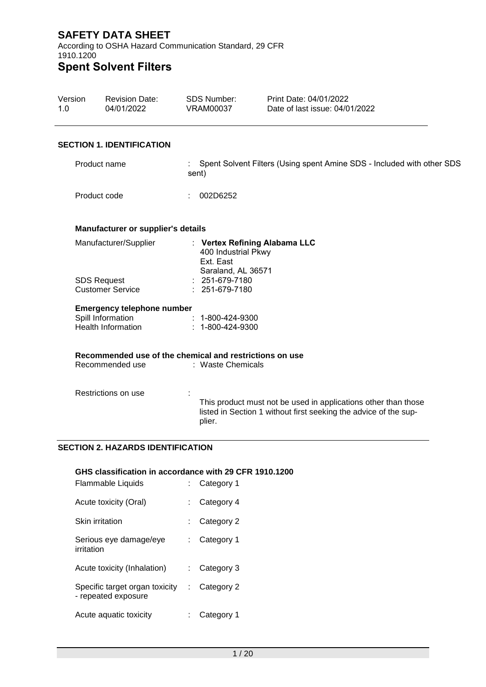According to OSHA Hazard Communication Standard, 29 CFR 1910.1200 **Spent Solvent Filters**

### Version 1.0 Revision Date: 04/01/2022 SDS Number: VRAM00037 Print Date: 04/01/2022 Date of last issue: 04/01/2022 **SECTION 1. IDENTIFICATION** Product name Product code : Spent Solvent Filters (Using spent Amine SDS - Included with other SDS sent) : 002D6252 **Manufacturer or supplier's details** Manufacturer/Supplier : **Vertex Refining Alabama LLC** 400 Industrial Pkwy Ext. East Saraland, AL 36571 SDS Request Customer Service : 251-679-7180 : 251-679-7180 **Emergency telephone number** Spill Information Health Information : 1-800-424-9300 : 1-800-424-9300 **Recommended use of the chemical and restrictions on use** Recommended use : Waste Chemicals Restrictions on use : This product must not be used in applications other than those listed in Section 1 without first seeking the advice of the supplier.

## **SECTION 2. HAZARDS IDENTIFICATION**

## **GHS classification in accordance with 29 CFR 1910.1200**

| <b>Flammable Liquids</b>                              | Category 1 |
|-------------------------------------------------------|------------|
| Acute toxicity (Oral)                                 | Category 4 |
| Skin irritation                                       | Category 2 |
| Serious eye damage/eye<br>irritation                  | Category 1 |
| Acute toxicity (Inhalation)                           | Category 3 |
| Specific target organ toxicity<br>- repeated exposure | Category 2 |
| Acute aquatic toxicity                                | Category 1 |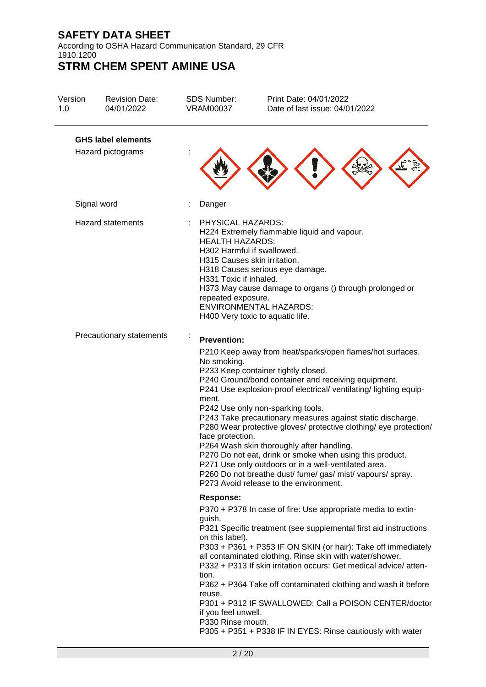According to OSHA Hazard Communication Standard, 29 CFR 1910.1200

| Version<br>1.0 | <b>Revision Date:</b><br>04/01/2022 | <b>SDS Number:</b><br><b>VRAM00037</b>                                                                                                                    | Print Date: 04/01/2022<br>Date of last issue: 04/01/2022                                                                                                                                                                                                                                                                                                                                                                                                                                                                                                                                                                                                                      |
|----------------|-------------------------------------|-----------------------------------------------------------------------------------------------------------------------------------------------------------|-------------------------------------------------------------------------------------------------------------------------------------------------------------------------------------------------------------------------------------------------------------------------------------------------------------------------------------------------------------------------------------------------------------------------------------------------------------------------------------------------------------------------------------------------------------------------------------------------------------------------------------------------------------------------------|
|                | <b>GHS label elements</b>           |                                                                                                                                                           |                                                                                                                                                                                                                                                                                                                                                                                                                                                                                                                                                                                                                                                                               |
|                | Hazard pictograms                   |                                                                                                                                                           |                                                                                                                                                                                                                                                                                                                                                                                                                                                                                                                                                                                                                                                                               |
|                | Signal word                         | Danger                                                                                                                                                    |                                                                                                                                                                                                                                                                                                                                                                                                                                                                                                                                                                                                                                                                               |
|                | <b>Hazard statements</b>            | PHYSICAL HAZARDS:<br><b>HEALTH HAZARDS:</b><br>H302 Harmful if swallowed.<br>H315 Causes skin irritation.<br>H331 Toxic if inhaled.<br>repeated exposure. | H224 Extremely flammable liquid and vapour.<br>H318 Causes serious eye damage.<br>H373 May cause damage to organs () through prolonged or<br><b>ENVIRONMENTAL HAZARDS:</b><br>H400 Very toxic to aquatic life.                                                                                                                                                                                                                                                                                                                                                                                                                                                                |
|                | Precautionary statements            | <b>Prevention:</b>                                                                                                                                        |                                                                                                                                                                                                                                                                                                                                                                                                                                                                                                                                                                                                                                                                               |
|                |                                     | No smoking.<br>ment.<br>face protection.                                                                                                                  | P210 Keep away from heat/sparks/open flames/hot surfaces.<br>P233 Keep container tightly closed.<br>P240 Ground/bond container and receiving equipment.<br>P241 Use explosion-proof electrical/ ventilating/ lighting equip-<br>P242 Use only non-sparking tools.<br>P243 Take precautionary measures against static discharge.<br>P280 Wear protective gloves/ protective clothing/ eye protection/<br>P264 Wash skin thoroughly after handling.<br>P270 Do not eat, drink or smoke when using this product.<br>P271 Use only outdoors or in a well-ventilated area.<br>P260 Do not breathe dust/ fume/ gas/ mist/ vapours/ spray.<br>P273 Avoid release to the environment. |
|                |                                     | <b>Response:</b>                                                                                                                                          |                                                                                                                                                                                                                                                                                                                                                                                                                                                                                                                                                                                                                                                                               |
|                |                                     | guish.<br>on this label).<br>tion.<br>reuse.<br>if you feel unwell.<br>P330 Rinse mouth.                                                                  | P370 + P378 In case of fire: Use appropriate media to extin-<br>P321 Specific treatment (see supplemental first aid instructions<br>P303 + P361 + P353 IF ON SKIN (or hair): Take off immediately<br>all contaminated clothing. Rinse skin with water/shower.<br>P332 + P313 If skin irritation occurs: Get medical advice/atten-<br>P362 + P364 Take off contaminated clothing and wash it before<br>P301 + P312 IF SWALLOWED: Call a POISON CENTER/doctor<br>P305 + P351 + P338 IF IN EYES: Rinse cautiously with water                                                                                                                                                     |
|                |                                     | 2/20                                                                                                                                                      |                                                                                                                                                                                                                                                                                                                                                                                                                                                                                                                                                                                                                                                                               |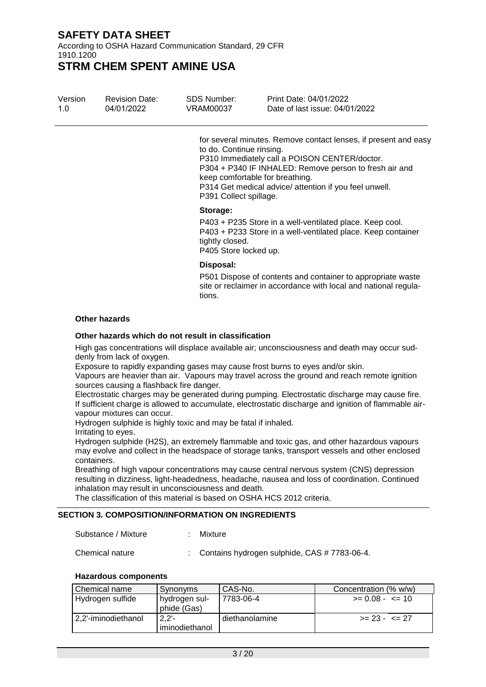According to OSHA Hazard Communication Standard, 29 CFR 1910.1200

**STRM CHEM SPENT AMINE USA**

| Version<br>1.0 | <b>Revision Date:</b><br>04/01/2022 | <b>SDS Number:</b><br>VRAM00037                      | Print Date: 04/01/2022<br>Date of last issue: 04/01/2022                                                                                                                                                                                                                |
|----------------|-------------------------------------|------------------------------------------------------|-------------------------------------------------------------------------------------------------------------------------------------------------------------------------------------------------------------------------------------------------------------------------|
|                |                                     | to do. Continue rinsing.<br>P391 Collect spillage.   | for several minutes. Remove contact lenses, if present and easy<br>P310 Immediately call a POISON CENTER/doctor.<br>P304 + P340 IF INHALED: Remove person to fresh air and<br>keep comfortable for breathing.<br>P314 Get medical advice/ attention if you feel unwell. |
|                |                                     | Storage:<br>tightly closed.<br>P405 Store locked up. | P403 + P235 Store in a well-ventilated place. Keep cool.<br>P403 + P233 Store in a well-ventilated place. Keep container                                                                                                                                                |
|                |                                     | Disposal:<br>tions.                                  | P501 Dispose of contents and container to appropriate waste<br>site or reclaimer in accordance with local and national regula-                                                                                                                                          |
|                | <b>Other hazards</b>                |                                                      |                                                                                                                                                                                                                                                                         |

## **Other hazards which do not result in classification**

High gas concentrations will displace available air; unconsciousness and death may occur suddenly from lack of oxygen.

Exposure to rapidly expanding gases may cause frost burns to eyes and/or skin.

Vapours are heavier than air. Vapours may travel across the ground and reach remote ignition sources causing a flashback fire danger.

Electrostatic charges may be generated during pumping. Electrostatic discharge may cause fire. If sufficient charge is allowed to accumulate, electrostatic discharge and ignition of flammable airvapour mixtures can occur.

Hydrogen sulphide is highly toxic and may be fatal if inhaled.

Irritating to eyes.

Hydrogen sulphide (H2S), an extremely flammable and toxic gas, and other hazardous vapours may evolve and collect in the headspace of storage tanks, transport vessels and other enclosed containers.

Breathing of high vapour concentrations may cause central nervous system (CNS) depression resulting in dizziness, light-headedness, headache, nausea and loss of coordination. Continued inhalation may result in unconsciousness and death.

The classification of this material is based on OSHA HCS 2012 criteria.

# **SECTION 3. COMPOSITION/INFORMATION ON INGREDIENTS**

Substance / Mixture : Mixture

Chemical nature : Contains hydrogen sulphide, CAS #7783-06-4.

## **Hazardous components**

| Chemical name       | Synonyms                       | l CAS-No.      | Concentration (% w/w) |
|---------------------|--------------------------------|----------------|-----------------------|
| Hydrogen sulfide    | I hydrogen sul-<br>phide (Gas) | 7783-06-4      | $>= 0.08 - \le 10$    |
| 2.2'-iminodiethanol | $2.2 -$<br>iminodiethanol      | diethanolamine | $>= 23 - 5 = 27$      |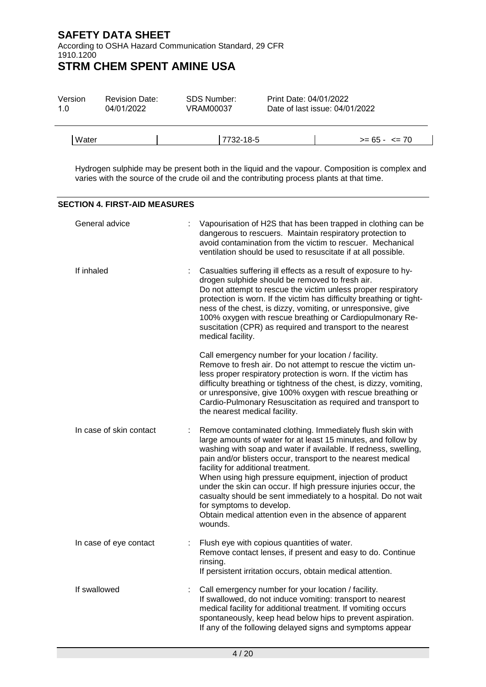According to OSHA Hazard Communication Standard, 29 CFR 1910.1200

# **STRM CHEM SPENT AMINE USA**

| Version<br>1.0 | <b>Revision Date:</b><br>04/01/2022 | SDS Number:<br>VRAM00037 | Print Date: 04/01/2022 | Date of last issue: 04/01/2022 |  |
|----------------|-------------------------------------|--------------------------|------------------------|--------------------------------|--|
| Water          |                                     | 7732-18-5                |                        | $>= 65 - 5 = 70$               |  |

Hydrogen sulphide may be present both in the liquid and the vapour. Composition is complex and varies with the source of the crude oil and the contributing process plants at that time.

#### **SECTION 4. FIRST-AID MEASURES**

| General advice          | Vapourisation of H2S that has been trapped in clothing can be<br>dangerous to rescuers. Maintain respiratory protection to<br>avoid contamination from the victim to rescuer. Mechanical<br>ventilation should be used to resuscitate if at all possible.                                                                                                                                                                                                                                                                                                                                                   |  |
|-------------------------|-------------------------------------------------------------------------------------------------------------------------------------------------------------------------------------------------------------------------------------------------------------------------------------------------------------------------------------------------------------------------------------------------------------------------------------------------------------------------------------------------------------------------------------------------------------------------------------------------------------|--|
| If inhaled              | Casualties suffering ill effects as a result of exposure to hy-<br>t<br>drogen sulphide should be removed to fresh air.<br>Do not attempt to rescue the victim unless proper respiratory<br>protection is worn. If the victim has difficulty breathing or tight-<br>ness of the chest, is dizzy, vomiting, or unresponsive, give<br>100% oxygen with rescue breathing or Cardiopulmonary Re-<br>suscitation (CPR) as required and transport to the nearest<br>medical facility.                                                                                                                             |  |
|                         | Call emergency number for your location / facility.<br>Remove to fresh air. Do not attempt to rescue the victim un-<br>less proper respiratory protection is worn. If the victim has<br>difficulty breathing or tightness of the chest, is dizzy, vomiting,<br>or unresponsive, give 100% oxygen with rescue breathing or<br>Cardio-Pulmonary Resuscitation as required and transport to<br>the nearest medical facility.                                                                                                                                                                                   |  |
| In case of skin contact | Remove contaminated clothing. Immediately flush skin with<br>÷<br>large amounts of water for at least 15 minutes, and follow by<br>washing with soap and water if available. If redness, swelling,<br>pain and/or blisters occur, transport to the nearest medical<br>facility for additional treatment.<br>When using high pressure equipment, injection of product<br>under the skin can occur. If high pressure injuries occur, the<br>casualty should be sent immediately to a hospital. Do not wait<br>for symptoms to develop.<br>Obtain medical attention even in the absence of apparent<br>wounds. |  |
| In case of eye contact  | Flush eye with copious quantities of water.<br>Remove contact lenses, if present and easy to do. Continue<br>rinsing.<br>If persistent irritation occurs, obtain medical attention.                                                                                                                                                                                                                                                                                                                                                                                                                         |  |
| If swallowed            | Call emergency number for your location / facility.<br>÷<br>If swallowed, do not induce vomiting: transport to nearest<br>medical facility for additional treatment. If vomiting occurs<br>spontaneously, keep head below hips to prevent aspiration.<br>If any of the following delayed signs and symptoms appear                                                                                                                                                                                                                                                                                          |  |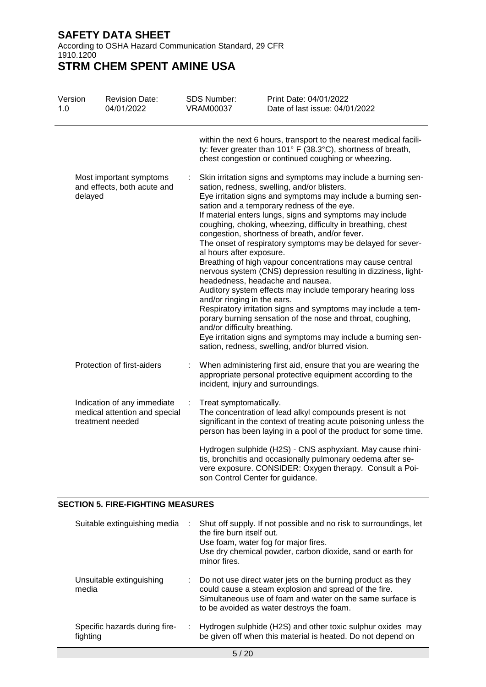According to OSHA Hazard Communication Standard, 29 CFR 1910.1200

**STRM CHEM SPENT AMINE USA**

| Version<br>1.0 |         | <b>Revision Date:</b><br>04/01/2022                                              | <b>SDS Number:</b><br><b>VRAM00037</b>                                                  | Print Date: 04/01/2022<br>Date of last issue: 04/01/2022                                                                                                                                                                                                                                                                                                                                                                                                                                                                                                                                                                                                                                                                                                                                                                                                                                                                                                   |
|----------------|---------|----------------------------------------------------------------------------------|-----------------------------------------------------------------------------------------|------------------------------------------------------------------------------------------------------------------------------------------------------------------------------------------------------------------------------------------------------------------------------------------------------------------------------------------------------------------------------------------------------------------------------------------------------------------------------------------------------------------------------------------------------------------------------------------------------------------------------------------------------------------------------------------------------------------------------------------------------------------------------------------------------------------------------------------------------------------------------------------------------------------------------------------------------------|
|                |         |                                                                                  |                                                                                         | within the next 6 hours, transport to the nearest medical facili-<br>ty: fever greater than 101° F (38.3°C), shortness of breath,<br>chest congestion or continued coughing or wheezing.                                                                                                                                                                                                                                                                                                                                                                                                                                                                                                                                                                                                                                                                                                                                                                   |
|                | delayed | Most important symptoms<br>and effects, both acute and                           | al hours after exposure.<br>and/or ringing in the ears.<br>and/or difficulty breathing. | Skin irritation signs and symptoms may include a burning sen-<br>sation, redness, swelling, and/or blisters.<br>Eye irritation signs and symptoms may include a burning sen-<br>sation and a temporary redness of the eye.<br>If material enters lungs, signs and symptoms may include<br>coughing, choking, wheezing, difficulty in breathing, chest<br>congestion, shortness of breath, and/or fever.<br>The onset of respiratory symptoms may be delayed for sever-<br>Breathing of high vapour concentrations may cause central<br>nervous system (CNS) depression resulting in dizziness, light-<br>headedness, headache and nausea.<br>Auditory system effects may include temporary hearing loss<br>Respiratory irritation signs and symptoms may include a tem-<br>porary burning sensation of the nose and throat, coughing,<br>Eye irritation signs and symptoms may include a burning sen-<br>sation, redness, swelling, and/or blurred vision. |
|                |         | Protection of first-aiders                                                       | incident, injury and surroundings.                                                      | When administering first aid, ensure that you are wearing the<br>appropriate personal protective equipment according to the                                                                                                                                                                                                                                                                                                                                                                                                                                                                                                                                                                                                                                                                                                                                                                                                                                |
|                |         | Indication of any immediate<br>medical attention and special<br>treatment needed | Treat symptomatically.                                                                  | The concentration of lead alkyl compounds present is not<br>significant in the context of treating acute poisoning unless the<br>person has been laying in a pool of the product for some time.                                                                                                                                                                                                                                                                                                                                                                                                                                                                                                                                                                                                                                                                                                                                                            |
|                |         |                                                                                  | son Control Center for guidance.                                                        | Hydrogen sulphide (H2S) - CNS asphyxiant. May cause rhini-<br>tis, bronchitis and occasionally pulmonary oedema after se-<br>vere exposure. CONSIDER: Oxygen therapy. Consult a Poi-                                                                                                                                                                                                                                                                                                                                                                                                                                                                                                                                                                                                                                                                                                                                                                       |

## **SECTION 5. FIRE-FIGHTING MEASURES**

| Suitable extinguishing media              | ÷. | Shut off supply. If not possible and no risk to surroundings, let<br>the fire burn itself out.<br>Use foam, water fog for major fires.<br>Use dry chemical powder, carbon dioxide, sand or earth for<br>minor fires.           |
|-------------------------------------------|----|--------------------------------------------------------------------------------------------------------------------------------------------------------------------------------------------------------------------------------|
| Unsuitable extinguishing<br>media         |    | Do not use direct water jets on the burning product as they<br>could cause a steam explosion and spread of the fire.<br>Simultaneous use of foam and water on the same surface is<br>to be avoided as water destroys the foam. |
| Specific hazards during fire-<br>fighting |    | Hydrogen sulphide (H2S) and other toxic sulphur oxides may<br>be given off when this material is heated. Do not depend on                                                                                                      |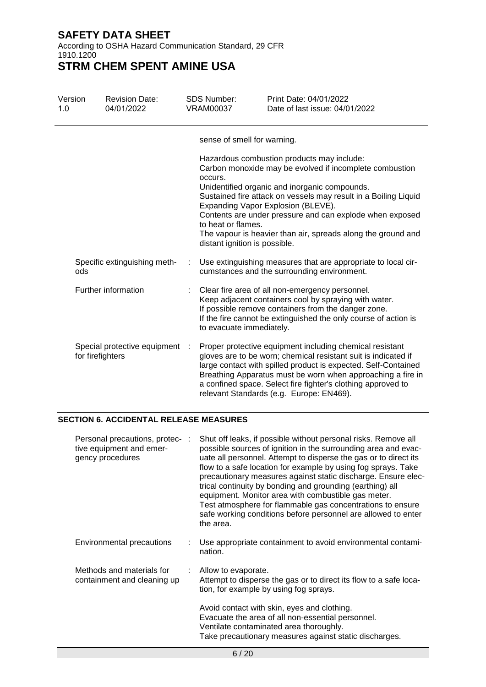According to OSHA Hazard Communication Standard, 29 CFR 1910.1200

**STRM CHEM SPENT AMINE USA**

| Version<br>1.0 |                  | <b>Revision Date:</b><br>04/01/2022 | <b>SDS Number:</b><br><b>VRAM00037</b>                         | Print Date: 04/01/2022<br>Date of last issue: 04/01/2022                                                                                                                                                                                                                                                                                                                                    |
|----------------|------------------|-------------------------------------|----------------------------------------------------------------|---------------------------------------------------------------------------------------------------------------------------------------------------------------------------------------------------------------------------------------------------------------------------------------------------------------------------------------------------------------------------------------------|
|                |                  |                                     | sense of smell for warning.                                    |                                                                                                                                                                                                                                                                                                                                                                                             |
|                |                  |                                     | occurs.<br>to heat or flames.<br>distant ignition is possible. | Hazardous combustion products may include:<br>Carbon monoxide may be evolved if incomplete combustion<br>Unidentified organic and inorganic compounds.<br>Sustained fire attack on vessels may result in a Boiling Liquid<br>Expanding Vapor Explosion (BLEVE).<br>Contents are under pressure and can explode when exposed<br>The vapour is heavier than air, spreads along the ground and |
|                | ods              | Specific extinguishing meth-        |                                                                | Use extinguishing measures that are appropriate to local cir-<br>cumstances and the surrounding environment.                                                                                                                                                                                                                                                                                |
|                |                  | Further information                 | to evacuate immediately.                                       | Clear fire area of all non-emergency personnel.<br>Keep adjacent containers cool by spraying with water.<br>If possible remove containers from the danger zone.<br>If the fire cannot be extinguished the only course of action is                                                                                                                                                          |
|                | for firefighters | Special protective equipment        |                                                                | Proper protective equipment including chemical resistant<br>gloves are to be worn; chemical resistant suit is indicated if<br>large contact with spilled product is expected. Self-Contained<br>Breathing Apparatus must be worn when approaching a fire in<br>a confined space. Select fire fighter's clothing approved to<br>relevant Standards (e.g. Europe: EN469).                     |

## **SECTION 6. ACCIDENTAL RELEASE MEASURES**

| Personal precautions, protec- :<br>tive equipment and emer-<br>gency procedures | Shut off leaks, if possible without personal risks. Remove all<br>possible sources of ignition in the surrounding area and evac-<br>uate all personnel. Attempt to disperse the gas or to direct its<br>flow to a safe location for example by using fog sprays. Take<br>precautionary measures against static discharge. Ensure elec-<br>trical continuity by bonding and grounding (earthing) all<br>equipment. Monitor area with combustible gas meter.<br>Test atmosphere for flammable gas concentrations to ensure<br>safe working conditions before personnel are allowed to enter<br>the area. |
|---------------------------------------------------------------------------------|--------------------------------------------------------------------------------------------------------------------------------------------------------------------------------------------------------------------------------------------------------------------------------------------------------------------------------------------------------------------------------------------------------------------------------------------------------------------------------------------------------------------------------------------------------------------------------------------------------|
| Environmental precautions                                                       | Use appropriate containment to avoid environmental contami-<br>nation.                                                                                                                                                                                                                                                                                                                                                                                                                                                                                                                                 |
| Methods and materials for<br>containment and cleaning up                        | Allow to evaporate.<br>Attempt to disperse the gas or to direct its flow to a safe loca-<br>tion, for example by using fog sprays.                                                                                                                                                                                                                                                                                                                                                                                                                                                                     |
|                                                                                 | Avoid contact with skin, eyes and clothing.<br>Evacuate the area of all non-essential personnel.<br>Ventilate contaminated area thoroughly.<br>Take precautionary measures against static discharges.                                                                                                                                                                                                                                                                                                                                                                                                  |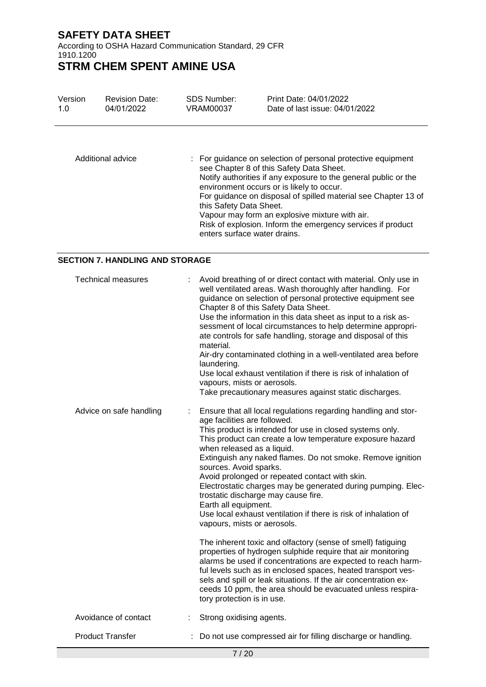According to OSHA Hazard Communication Standard, 29 CFR 1910.1200

# **STRM CHEM SPENT AMINE USA**

| Version | <b>Revision Date:</b> | <b>SDS Number:</b>                                      | Print Date: 04/01/2022                                                                                                                                                                                                                                                                                                                                                                                      |
|---------|-----------------------|---------------------------------------------------------|-------------------------------------------------------------------------------------------------------------------------------------------------------------------------------------------------------------------------------------------------------------------------------------------------------------------------------------------------------------------------------------------------------------|
| 1.0     | 04/01/2022            | VRAM00037                                               | Date of last issue: 04/01/2022                                                                                                                                                                                                                                                                                                                                                                              |
|         | Additional advice     | this Safety Data Sheet.<br>enters surface water drains. | : For guidance on selection of personal protective equipment<br>see Chapter 8 of this Safety Data Sheet.<br>Notify authorities if any exposure to the general public or the<br>environment occurs or is likely to occur.<br>For guidance on disposal of spilled material see Chapter 13 of<br>Vapour may form an explosive mixture with air.<br>Risk of explosion. Inform the emergency services if product |

## **SECTION 7. HANDLING AND STORAGE**

| <b>Technical measures</b> | Avoid breathing of or direct contact with material. Only use in<br>well ventilated areas. Wash thoroughly after handling. For<br>guidance on selection of personal protective equipment see<br>Chapter 8 of this Safety Data Sheet.<br>Use the information in this data sheet as input to a risk as-<br>sessment of local circumstances to help determine appropri-<br>ate controls for safe handling, storage and disposal of this<br>material.<br>Air-dry contaminated clothing in a well-ventilated area before<br>laundering.<br>Use local exhaust ventilation if there is risk of inhalation of<br>vapours, mists or aerosols.<br>Take precautionary measures against static discharges.   |
|---------------------------|-------------------------------------------------------------------------------------------------------------------------------------------------------------------------------------------------------------------------------------------------------------------------------------------------------------------------------------------------------------------------------------------------------------------------------------------------------------------------------------------------------------------------------------------------------------------------------------------------------------------------------------------------------------------------------------------------|
| Advice on safe handling   | Ensure that all local regulations regarding handling and stor-<br>age facilities are followed.<br>This product is intended for use in closed systems only.<br>This product can create a low temperature exposure hazard<br>when released as a liquid.<br>Extinguish any naked flames. Do not smoke. Remove ignition<br>sources. Avoid sparks.<br>Avoid prolonged or repeated contact with skin.<br>Electrostatic charges may be generated during pumping. Elec-<br>trostatic discharge may cause fire.<br>Earth all equipment.<br>Use local exhaust ventilation if there is risk of inhalation of<br>vapours, mists or aerosols.<br>The inherent toxic and olfactory (sense of smell) fatiguing |
|                           | properties of hydrogen sulphide require that air monitoring<br>alarms be used if concentrations are expected to reach harm-<br>ful levels such as in enclosed spaces, heated transport ves-<br>sels and spill or leak situations. If the air concentration ex-<br>ceeds 10 ppm, the area should be evacuated unless respira-<br>tory protection is in use.                                                                                                                                                                                                                                                                                                                                      |
| Avoidance of contact      | Strong oxidising agents.                                                                                                                                                                                                                                                                                                                                                                                                                                                                                                                                                                                                                                                                        |
| <b>Product Transfer</b>   | Do not use compressed air for filling discharge or handling.                                                                                                                                                                                                                                                                                                                                                                                                                                                                                                                                                                                                                                    |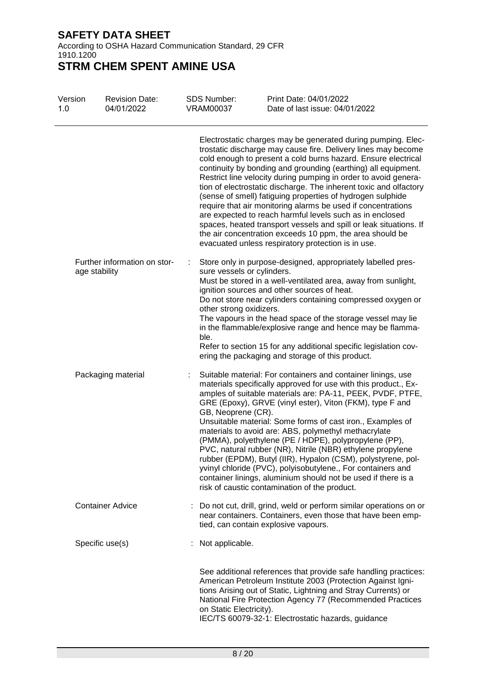According to OSHA Hazard Communication Standard, 29 CFR 1910.1200

| Version<br>1.0 | <b>Revision Date:</b><br>04/01/2022           | <b>SDS Number:</b><br><b>VRAM00037</b> | Print Date: 04/01/2022<br>Date of last issue: 04/01/2022                                                                                                                                                                                                                                                                                                                                                                                                                                                                                                                                                                                                                                                                                                                                 |
|----------------|-----------------------------------------------|----------------------------------------|------------------------------------------------------------------------------------------------------------------------------------------------------------------------------------------------------------------------------------------------------------------------------------------------------------------------------------------------------------------------------------------------------------------------------------------------------------------------------------------------------------------------------------------------------------------------------------------------------------------------------------------------------------------------------------------------------------------------------------------------------------------------------------------|
|                |                                               |                                        | Electrostatic charges may be generated during pumping. Elec-<br>trostatic discharge may cause fire. Delivery lines may become<br>cold enough to present a cold burns hazard. Ensure electrical<br>continuity by bonding and grounding (earthing) all equipment.<br>Restrict line velocity during pumping in order to avoid genera-<br>tion of electrostatic discharge. The inherent toxic and olfactory<br>(sense of smell) fatiguing properties of hydrogen sulphide<br>require that air monitoring alarms be used if concentrations<br>are expected to reach harmful levels such as in enclosed<br>spaces, heated transport vessels and spill or leak situations. If<br>the air concentration exceeds 10 ppm, the area should be<br>evacuated unless respiratory protection is in use. |
|                | Further information on stor-<br>age stability | ÷<br>other strong oxidizers.<br>ble.   | Store only in purpose-designed, appropriately labelled pres-<br>sure vessels or cylinders.<br>Must be stored in a well-ventilated area, away from sunlight,<br>ignition sources and other sources of heat.<br>Do not store near cylinders containing compressed oxygen or<br>The vapours in the head space of the storage vessel may lie<br>in the flammable/explosive range and hence may be flamma-<br>Refer to section 15 for any additional specific legislation cov-<br>ering the packaging and storage of this product.                                                                                                                                                                                                                                                            |
|                | Packaging material                            | GB, Neoprene (CR).                     | Suitable material: For containers and container linings, use<br>materials specifically approved for use with this product., Ex-<br>amples of suitable materials are: PA-11, PEEK, PVDF, PTFE,<br>GRE (Epoxy), GRVE (vinyl ester), Viton (FKM), type F and<br>Unsuitable material: Some forms of cast iron., Examples of<br>materials to avoid are: ABS, polymethyl methacrylate<br>(PMMA), polyethylene (PE / HDPE), polypropylene (PP),<br>PVC, natural rubber (NR), Nitrile (NBR) ethylene propylene<br>rubber (EPDM), Butyl (IIR), Hypalon (CSM), polystyrene, pol-<br>yvinyl chloride (PVC), polyisobutylene., For containers and<br>container linings, aluminium should not be used if there is a<br>risk of caustic contamination of the product.                                  |
|                | <b>Container Advice</b>                       |                                        | Do not cut, drill, grind, weld or perform similar operations on or<br>near containers. Containers, even those that have been emp-<br>tied, can contain explosive vapours.                                                                                                                                                                                                                                                                                                                                                                                                                                                                                                                                                                                                                |
|                | Specific use(s)                               | Not applicable.                        |                                                                                                                                                                                                                                                                                                                                                                                                                                                                                                                                                                                                                                                                                                                                                                                          |
|                |                                               | on Static Electricity).                | See additional references that provide safe handling practices:<br>American Petroleum Institute 2003 (Protection Against Igni-<br>tions Arising out of Static, Lightning and Stray Currents) or<br>National Fire Protection Agency 77 (Recommended Practices<br>IEC/TS 60079-32-1: Electrostatic hazards, guidance                                                                                                                                                                                                                                                                                                                                                                                                                                                                       |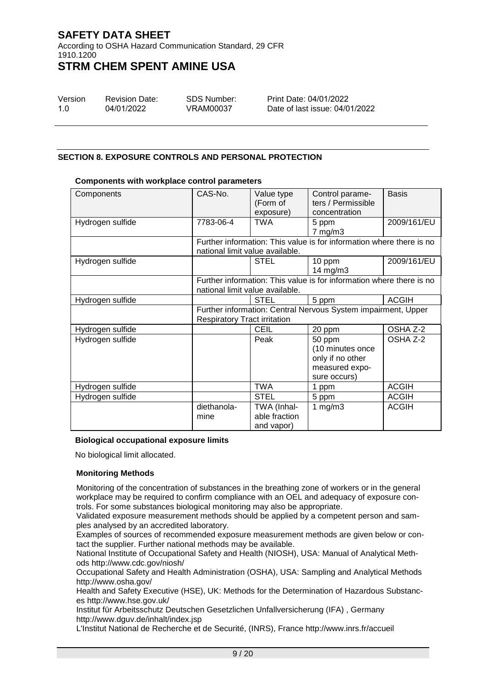According to OSHA Hazard Communication Standard, 29 CFR 1910.1200

# **STRM CHEM SPENT AMINE USA**

| Version | <b>Revision Date:</b> | SDS Number: |
|---------|-----------------------|-------------|
| 1.O     | 04/01/2022            | VRAM00037   |

Print Date: 04/01/2022 Date of last issue: 04/01/2022

## **SECTION 8. EXPOSURE CONTROLS AND PERSONAL PROTECTION**

| Components       | CAS-No.                             | Value type    | Control parame-                                                      | <b>Basis</b> |
|------------------|-------------------------------------|---------------|----------------------------------------------------------------------|--------------|
|                  |                                     | (Form of      | ters / Permissible                                                   |              |
|                  |                                     | exposure)     | concentration                                                        |              |
| Hydrogen sulfide | 7783-06-4                           | TWA           | 5 ppm                                                                | 2009/161/EU  |
|                  |                                     |               | $7$ mg/m $3$                                                         |              |
|                  |                                     |               | Further information: This value is for information where there is no |              |
|                  | national limit value available.     |               |                                                                      |              |
| Hydrogen sulfide |                                     | <b>STEL</b>   | 10 ppm                                                               | 2009/161/EU  |
|                  |                                     |               | 14 mg/m $3$                                                          |              |
|                  |                                     |               | Further information: This value is for information where there is no |              |
|                  | national limit value available.     |               |                                                                      |              |
| Hydrogen sulfide |                                     | <b>STEL</b>   | 5 ppm                                                                | <b>ACGIH</b> |
|                  |                                     |               | Further information: Central Nervous System impairment, Upper        |              |
|                  | <b>Respiratory Tract irritation</b> |               |                                                                      |              |
| Hydrogen sulfide |                                     | <b>CEIL</b>   | 20 ppm                                                               | OSHA Z-2     |
| Hydrogen sulfide |                                     | Peak          | 50 ppm                                                               | OSHA Z-2     |
|                  |                                     |               | (10 minutes once                                                     |              |
|                  |                                     |               | only if no other                                                     |              |
|                  |                                     |               | measured expo-                                                       |              |
|                  |                                     |               | sure occurs)                                                         |              |
| Hydrogen sulfide |                                     | <b>TWA</b>    | 1 ppm                                                                | <b>ACGIH</b> |
| Hydrogen sulfide |                                     | <b>STEL</b>   | 5 ppm                                                                | <b>ACGIH</b> |
|                  | diethanola-                         | TWA (Inhal-   | 1 $mg/m3$                                                            | <b>ACGIH</b> |
|                  | mine                                | able fraction |                                                                      |              |
|                  |                                     | and vapor)    |                                                                      |              |

## **Components with workplace control parameters**

## **Biological occupational exposure limits**

No biological limit allocated.

## **Monitoring Methods**

Monitoring of the concentration of substances in the breathing zone of workers or in the general workplace may be required to confirm compliance with an OEL and adequacy of exposure controls. For some substances biological monitoring may also be appropriate.

Validated exposure measurement methods should be applied by a competent person and samples analysed by an accredited laboratory.

Examples of sources of recommended exposure measurement methods are given below or contact the supplier. Further national methods may be available.

National Institute of Occupational Safety and Health (NIOSH), USA: Manual of Analytical Methods http://www.cdc.gov/niosh/

Occupational Safety and Health Administration (OSHA), USA: Sampling and Analytical Methods http://www.osha.gov/

Health and Safety Executive (HSE), UK: Methods for the Determination of Hazardous Substances http://www.hse.gov.uk/

Institut für Arbeitsschutz Deutschen Gesetzlichen Unfallversicherung (IFA) , Germany http://www.dguv.de/inhalt/index.jsp

L'Institut National de Recherche et de Securité, (INRS), France http://www.inrs.fr/accueil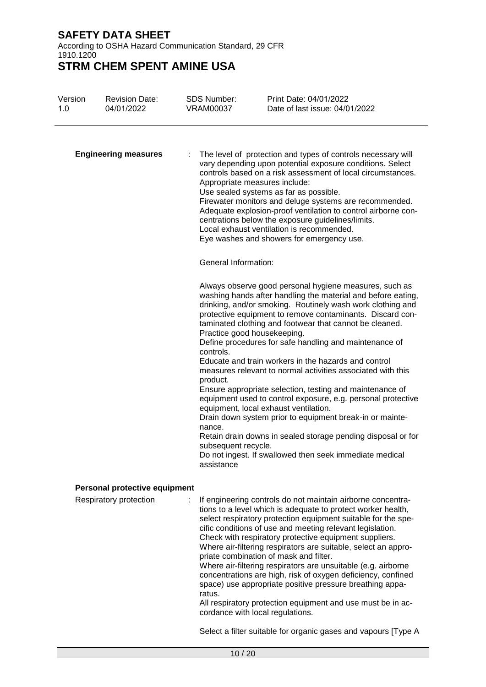According to OSHA Hazard Communication Standard, 29 CFR 1910.1200

**STRM CHEM SPENT AMINE USA**

| Version<br>1.0 | <b>Revision Date:</b><br>04/01/2022 | <b>SDS Number:</b><br><b>VRAM00037</b>                                                              | Print Date: 04/01/2022<br>Date of last issue: 04/01/2022                                                                                                                                                                                                                                                                                                                                                                                                                                                                                                                                                                                                                                                                                                                                                                                                  |
|----------------|-------------------------------------|-----------------------------------------------------------------------------------------------------|-----------------------------------------------------------------------------------------------------------------------------------------------------------------------------------------------------------------------------------------------------------------------------------------------------------------------------------------------------------------------------------------------------------------------------------------------------------------------------------------------------------------------------------------------------------------------------------------------------------------------------------------------------------------------------------------------------------------------------------------------------------------------------------------------------------------------------------------------------------|
|                | <b>Engineering measures</b>         | Appropriate measures include:                                                                       | The level of protection and types of controls necessary will<br>vary depending upon potential exposure conditions. Select<br>controls based on a risk assessment of local circumstances.<br>Use sealed systems as far as possible.<br>Firewater monitors and deluge systems are recommended.<br>Adequate explosion-proof ventilation to control airborne con-<br>centrations below the exposure guidelines/limits.<br>Local exhaust ventilation is recommended.<br>Eye washes and showers for emergency use.                                                                                                                                                                                                                                                                                                                                              |
|                |                                     | <b>General Information:</b>                                                                         |                                                                                                                                                                                                                                                                                                                                                                                                                                                                                                                                                                                                                                                                                                                                                                                                                                                           |
|                |                                     | Practice good housekeeping.<br>controls.<br>product.<br>nance.<br>subsequent recycle.<br>assistance | Always observe good personal hygiene measures, such as<br>washing hands after handling the material and before eating,<br>drinking, and/or smoking. Routinely wash work clothing and<br>protective equipment to remove contaminants. Discard con-<br>taminated clothing and footwear that cannot be cleaned.<br>Define procedures for safe handling and maintenance of<br>Educate and train workers in the hazards and control<br>measures relevant to normal activities associated with this<br>Ensure appropriate selection, testing and maintenance of<br>equipment used to control exposure, e.g. personal protective<br>equipment, local exhaust ventilation.<br>Drain down system prior to equipment break-in or mainte-<br>Retain drain downs in sealed storage pending disposal or for<br>Do not ingest. If swallowed then seek immediate medical |
|                | Personal protective equipment       |                                                                                                     |                                                                                                                                                                                                                                                                                                                                                                                                                                                                                                                                                                                                                                                                                                                                                                                                                                                           |
|                | Respiratory protection              | ÷.<br>ratus.                                                                                        | If engineering controls do not maintain airborne concentra-<br>tions to a level which is adequate to protect worker health,<br>select respiratory protection equipment suitable for the spe-<br>cific conditions of use and meeting relevant legislation.<br>Check with respiratory protective equipment suppliers.<br>Where air-filtering respirators are suitable, select an appro-<br>priate combination of mask and filter.<br>Where air-filtering respirators are unsuitable (e.g. airborne<br>concentrations are high, risk of oxygen deficiency, confined<br>space) use appropriate positive pressure breathing appa-<br>All respiratory protection equipment and use must be in ac-                                                                                                                                                               |

All respiratory protection equipment and use must be in accordance with local regulations.

Select a filter suitable for organic gases and vapours [Type A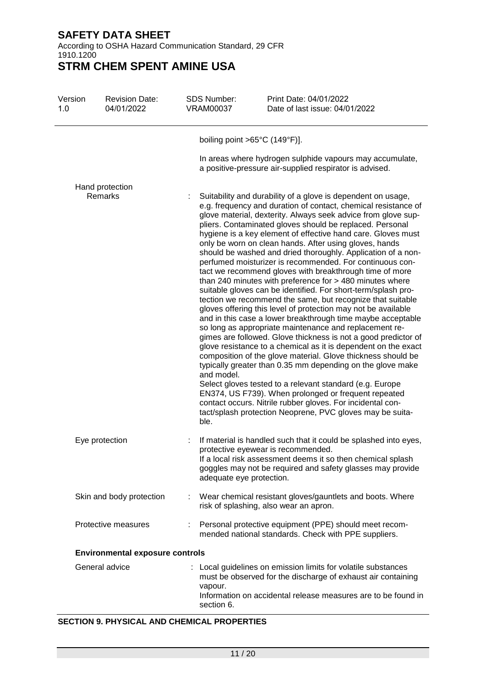According to OSHA Hazard Communication Standard, 29 CFR 1910.1200

**STRM CHEM SPENT AMINE USA**

| Version<br>1.0 | <b>Revision Date:</b><br>04/01/2022    | <b>SDS Number:</b><br><b>VRAM00037</b> | Print Date: 04/01/2022<br>Date of last issue: 04/01/2022                                                                                                                                                                                                                                                                                                                                                                                                                                                                                                                                                                                                                                                                                                                                                                                                                                                                                                                                                                                                                                                                                                                                                                                                                                                                                                                                                                                                                           |
|----------------|----------------------------------------|----------------------------------------|------------------------------------------------------------------------------------------------------------------------------------------------------------------------------------------------------------------------------------------------------------------------------------------------------------------------------------------------------------------------------------------------------------------------------------------------------------------------------------------------------------------------------------------------------------------------------------------------------------------------------------------------------------------------------------------------------------------------------------------------------------------------------------------------------------------------------------------------------------------------------------------------------------------------------------------------------------------------------------------------------------------------------------------------------------------------------------------------------------------------------------------------------------------------------------------------------------------------------------------------------------------------------------------------------------------------------------------------------------------------------------------------------------------------------------------------------------------------------------|
|                |                                        |                                        | boiling point > $65^{\circ}$ C (149°F)].                                                                                                                                                                                                                                                                                                                                                                                                                                                                                                                                                                                                                                                                                                                                                                                                                                                                                                                                                                                                                                                                                                                                                                                                                                                                                                                                                                                                                                           |
|                |                                        |                                        | In areas where hydrogen sulphide vapours may accumulate,<br>a positive-pressure air-supplied respirator is advised.                                                                                                                                                                                                                                                                                                                                                                                                                                                                                                                                                                                                                                                                                                                                                                                                                                                                                                                                                                                                                                                                                                                                                                                                                                                                                                                                                                |
|                | Hand protection                        |                                        |                                                                                                                                                                                                                                                                                                                                                                                                                                                                                                                                                                                                                                                                                                                                                                                                                                                                                                                                                                                                                                                                                                                                                                                                                                                                                                                                                                                                                                                                                    |
|                | Remarks                                | and model.<br>ble.                     | Suitability and durability of a glove is dependent on usage,<br>e.g. frequency and duration of contact, chemical resistance of<br>glove material, dexterity. Always seek advice from glove sup-<br>pliers. Contaminated gloves should be replaced. Personal<br>hygiene is a key element of effective hand care. Gloves must<br>only be worn on clean hands. After using gloves, hands<br>should be washed and dried thoroughly. Application of a non-<br>perfumed moisturizer is recommended. For continuous con-<br>tact we recommend gloves with breakthrough time of more<br>than 240 minutes with preference for > 480 minutes where<br>suitable gloves can be identified. For short-term/splash pro-<br>tection we recommend the same, but recognize that suitable<br>gloves offering this level of protection may not be available<br>and in this case a lower breakthrough time maybe acceptable<br>so long as appropriate maintenance and replacement re-<br>gimes are followed. Glove thickness is not a good predictor of<br>glove resistance to a chemical as it is dependent on the exact<br>composition of the glove material. Glove thickness should be<br>typically greater than 0.35 mm depending on the glove make<br>Select gloves tested to a relevant standard (e.g. Europe<br>EN374, US F739). When prolonged or frequent repeated<br>contact occurs. Nitrile rubber gloves. For incidental con-<br>tact/splash protection Neoprene, PVC gloves may be suita- |
|                | Eye protection                         |                                        | If material is handled such that it could be splashed into eyes,                                                                                                                                                                                                                                                                                                                                                                                                                                                                                                                                                                                                                                                                                                                                                                                                                                                                                                                                                                                                                                                                                                                                                                                                                                                                                                                                                                                                                   |
|                |                                        | adequate eye protection.               | protective eyewear is recommended.<br>If a local risk assessment deems it so then chemical splash<br>goggles may not be required and safety glasses may provide                                                                                                                                                                                                                                                                                                                                                                                                                                                                                                                                                                                                                                                                                                                                                                                                                                                                                                                                                                                                                                                                                                                                                                                                                                                                                                                    |
|                | Skin and body protection               |                                        | Wear chemical resistant gloves/gauntlets and boots. Where<br>risk of splashing, also wear an apron.                                                                                                                                                                                                                                                                                                                                                                                                                                                                                                                                                                                                                                                                                                                                                                                                                                                                                                                                                                                                                                                                                                                                                                                                                                                                                                                                                                                |
|                | Protective measures                    |                                        | : Personal protective equipment (PPE) should meet recom-<br>mended national standards. Check with PPE suppliers.                                                                                                                                                                                                                                                                                                                                                                                                                                                                                                                                                                                                                                                                                                                                                                                                                                                                                                                                                                                                                                                                                                                                                                                                                                                                                                                                                                   |
|                | <b>Environmental exposure controls</b> |                                        |                                                                                                                                                                                                                                                                                                                                                                                                                                                                                                                                                                                                                                                                                                                                                                                                                                                                                                                                                                                                                                                                                                                                                                                                                                                                                                                                                                                                                                                                                    |
|                | General advice                         | vapour.<br>section 6.                  | : Local guidelines on emission limits for volatile substances<br>must be observed for the discharge of exhaust air containing<br>Information on accidental release measures are to be found in                                                                                                                                                                                                                                                                                                                                                                                                                                                                                                                                                                                                                                                                                                                                                                                                                                                                                                                                                                                                                                                                                                                                                                                                                                                                                     |

## **SECTION 9. PHYSICAL AND CHEMICAL PROPERTIES**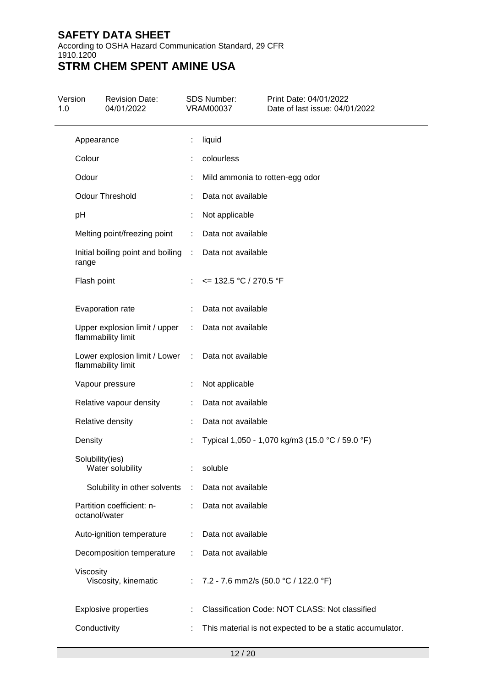According to OSHA Hazard Communication Standard, 29 CFR 1910.1200

| Version<br>1.0 |                 | <b>Revision Date:</b><br>04/01/2022                 |                               | <b>SDS Number:</b><br><b>VRAM00037</b> | Print Date: 04/01/2022<br>Date of last issue: 04/01/2022  |
|----------------|-----------------|-----------------------------------------------------|-------------------------------|----------------------------------------|-----------------------------------------------------------|
|                | Appearance      |                                                     | t                             | liquid                                 |                                                           |
|                | Colour          |                                                     |                               | colourless                             |                                                           |
|                | Odour           |                                                     |                               | Mild ammonia to rotten-egg odor        |                                                           |
|                |                 | <b>Odour Threshold</b>                              |                               | Data not available                     |                                                           |
|                | pH              |                                                     |                               | Not applicable                         |                                                           |
|                |                 | Melting point/freezing point                        |                               | Data not available                     |                                                           |
|                | range           | Initial boiling point and boiling                   | ÷                             | Data not available                     |                                                           |
|                | Flash point     |                                                     |                               | $\epsilon$ = 132.5 °C / 270.5 °F       |                                                           |
|                |                 | Evaporation rate                                    |                               | Data not available                     |                                                           |
|                |                 | Upper explosion limit / upper<br>flammability limit | ÷                             | Data not available                     |                                                           |
|                |                 | Lower explosion limit / Lower<br>flammability limit | $\mathcal{I}^{\mathcal{I}}$ . | Data not available                     |                                                           |
|                |                 | Vapour pressure                                     |                               | Not applicable                         |                                                           |
|                |                 | Relative vapour density                             |                               | Data not available                     |                                                           |
|                |                 | Relative density                                    |                               | Data not available                     |                                                           |
|                | Density         |                                                     |                               |                                        | Typical 1,050 - 1,070 kg/m3 (15.0 °C / 59.0 °F)           |
|                | Solubility(ies) | Water solubility                                    |                               | soluble                                |                                                           |
|                |                 | Solubility in other solvents                        | ÷                             | Data not available                     |                                                           |
|                | octanol/water   | Partition coefficient: n-                           |                               | Data not available                     |                                                           |
|                |                 | Auto-ignition temperature                           |                               | Data not available                     |                                                           |
|                |                 | Decomposition temperature                           |                               | Data not available                     |                                                           |
|                | Viscosity       | Viscosity, kinematic                                |                               |                                        | 7.2 - 7.6 mm2/s (50.0 °C / 122.0 °F)                      |
|                |                 | <b>Explosive properties</b>                         |                               |                                        | Classification Code: NOT CLASS: Not classified            |
|                | Conductivity    |                                                     |                               |                                        | This material is not expected to be a static accumulator. |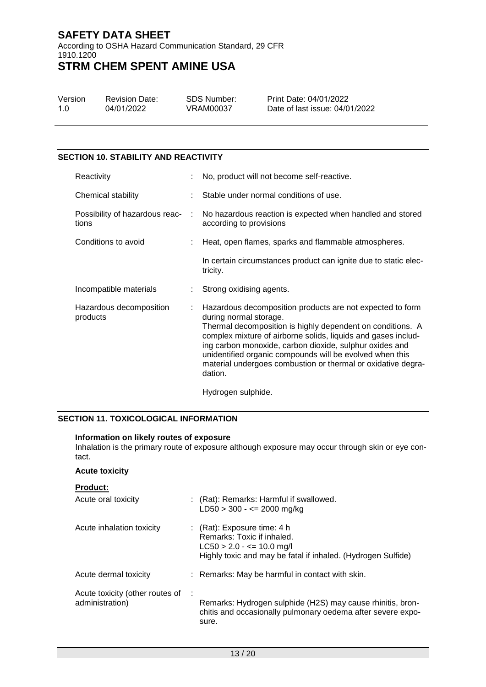According to OSHA Hazard Communication Standard, 29 CFR 1910.1200

# **STRM CHEM SPENT AMINE USA**

| Version | <b>Revision Date:</b> |
|---------|-----------------------|
| 1.0     | 04/01/2022            |

SDS Number: VRAM00037

Print Date: 04/01/2022 Date of last issue: 04/01/2022

# **SECTION 10. STABILITY AND REACTIVITY**

| Reactivity                              |   | No, product will not become self-reactive.                                                                                                                                                                                                                                                                                                                                                                           |
|-----------------------------------------|---|----------------------------------------------------------------------------------------------------------------------------------------------------------------------------------------------------------------------------------------------------------------------------------------------------------------------------------------------------------------------------------------------------------------------|
| Chemical stability                      |   | Stable under normal conditions of use.                                                                                                                                                                                                                                                                                                                                                                               |
| Possibility of hazardous reac-<br>tions | ÷ | No hazardous reaction is expected when handled and stored<br>according to provisions                                                                                                                                                                                                                                                                                                                                 |
| Conditions to avoid                     |   | Heat, open flames, sparks and flammable atmospheres.                                                                                                                                                                                                                                                                                                                                                                 |
|                                         |   | In certain circumstances product can ignite due to static elec-<br>tricity.                                                                                                                                                                                                                                                                                                                                          |
| Incompatible materials                  |   | Strong oxidising agents.                                                                                                                                                                                                                                                                                                                                                                                             |
| Hazardous decomposition<br>products     |   | Hazardous decomposition products are not expected to form<br>during normal storage.<br>Thermal decomposition is highly dependent on conditions. A<br>complex mixture of airborne solids, liquids and gases includ-<br>ing carbon monoxide, carbon dioxide, sulphur oxides and<br>unidentified organic compounds will be evolved when this<br>material undergoes combustion or thermal or oxidative degra-<br>dation. |

Hydrogen sulphide.

## **SECTION 11. TOXICOLOGICAL INFORMATION**

#### **Information on likely routes of exposure**

Inhalation is the primary route of exposure although exposure may occur through skin or eye contact.

## **Acute toxicity**

|  |  |  | Product: |
|--|--|--|----------|
|--|--|--|----------|

| Acute oral toxicity                                |   | : (Rat): Remarks: Harmful if swallowed.<br>$LD50 > 300 - \le 2000$ mg/kg                                                                                     |
|----------------------------------------------------|---|--------------------------------------------------------------------------------------------------------------------------------------------------------------|
| Acute inhalation toxicity                          |   | : $(Rat)$ : Exposure time: 4 h<br>Remarks: Toxic if inhaled.<br>$LC50 > 2.0 - \le 10.0$ mg/l<br>Highly toxic and may be fatal if inhaled. (Hydrogen Sulfide) |
| Acute dermal toxicity                              |   | : Remarks: May be harmful in contact with skin.                                                                                                              |
| Acute toxicity (other routes of<br>administration) | ÷ | Remarks: Hydrogen sulphide (H2S) may cause rhinitis, bron-<br>chitis and occasionally pulmonary oedema after severe expo-<br>sure.                           |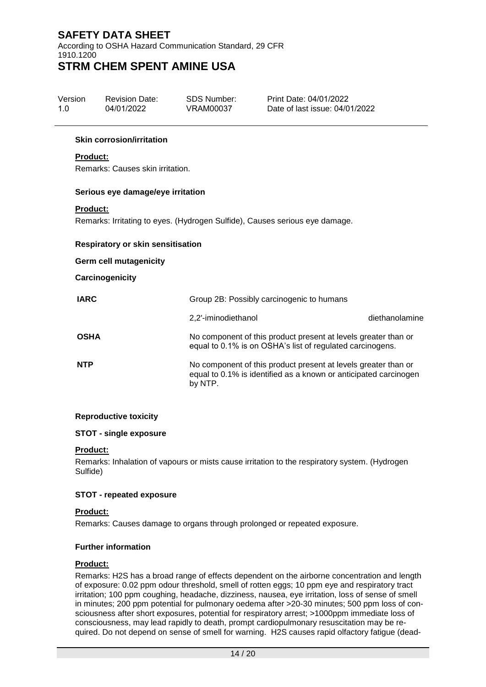According to OSHA Hazard Communication Standard, 29 CFR 1910.1200 **STRM CHEM SPENT AMINE USA**

| Version | <b>Revision Date:</b> | SDS Number: | Print Date: 04/01/2022         |
|---------|-----------------------|-------------|--------------------------------|
| 1 O     | 04/01/2022            | VRAM00037   | Date of last issue: 04/01/2022 |

#### **Skin corrosion/irritation**

## **Product:**

Remarks: Causes skin irritation.

#### **Serious eye damage/eye irritation**

#### **Product:**

Remarks: Irritating to eyes. (Hydrogen Sulfide), Causes serious eye damage.

#### **Respiratory or skin sensitisation**

#### **Germ cell mutagenicity**

#### **Carcinogenicity**

| <b>IARC</b> | Group 2B: Possibly carcinogenic to humans                                                                                                     |                |  |
|-------------|-----------------------------------------------------------------------------------------------------------------------------------------------|----------------|--|
|             | 2.2'-iminodiethanol                                                                                                                           | diethanolamine |  |
| <b>OSHA</b> | No component of this product present at levels greater than or<br>equal to 0.1% is on OSHA's list of regulated carcinogens.                   |                |  |
| <b>NTP</b>  | No component of this product present at levels greater than or<br>equal to 0.1% is identified as a known or anticipated carcinogen<br>by NTP. |                |  |

## **Reproductive toxicity**

## **STOT - single exposure**

#### **Product:**

Remarks: Inhalation of vapours or mists cause irritation to the respiratory system. (Hydrogen Sulfide)

## **STOT - repeated exposure**

#### **Product:**

Remarks: Causes damage to organs through prolonged or repeated exposure.

## **Further information**

#### **Product:**

Remarks: H2S has a broad range of effects dependent on the airborne concentration and length of exposure: 0.02 ppm odour threshold, smell of rotten eggs; 10 ppm eye and respiratory tract irritation; 100 ppm coughing, headache, dizziness, nausea, eye irritation, loss of sense of smell in minutes; 200 ppm potential for pulmonary oedema after >20-30 minutes; 500 ppm loss of consciousness after short exposures, potential for respiratory arrest; >1000ppm immediate loss of consciousness, may lead rapidly to death, prompt cardiopulmonary resuscitation may be required. Do not depend on sense of smell for warning. H2S causes rapid olfactory fatigue (dead-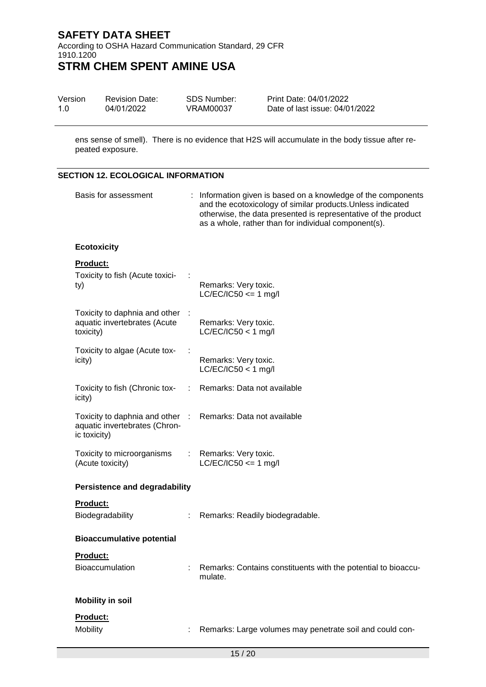According to OSHA Hazard Communication Standard, 29 CFR 1910.1200 **STRM CHEM SPENT AMINE USA**

| Version | <b>Revision Date:</b> | SDS Number: | Print Date: 04/01/2022         |
|---------|-----------------------|-------------|--------------------------------|
| 1.0     | 04/01/2022            | VRAM00037   | Date of last issue: 04/01/2022 |

ens sense of smell). There is no evidence that H2S will accumulate in the body tissue after repeated exposure.

## **SECTION 12. ECOLOGICAL INFORMATION**

| Basis for assessment                                                           |            | : Information given is based on a knowledge of the components<br>and the ecotoxicology of similar products. Unless indicated<br>otherwise, the data presented is representative of the product<br>as a whole, rather than for individual component(s). |  |
|--------------------------------------------------------------------------------|------------|--------------------------------------------------------------------------------------------------------------------------------------------------------------------------------------------------------------------------------------------------------|--|
| <b>Ecotoxicity</b>                                                             |            |                                                                                                                                                                                                                                                        |  |
| <b>Product:</b><br>Toxicity to fish (Acute toxici-<br>ty)                      |            | Remarks: Very toxic.<br>$LC/EC/IC50 \leq 1$ mg/l                                                                                                                                                                                                       |  |
| Toxicity to daphnia and other<br>aquatic invertebrates (Acute<br>toxicity)     |            | Remarks: Very toxic.<br>$LC/EC/IC50 < 1$ mg/l                                                                                                                                                                                                          |  |
| Toxicity to algae (Acute tox-<br>icity)                                        |            | Remarks: Very toxic.<br>$LC/EC/IC50 < 1$ mg/l                                                                                                                                                                                                          |  |
| Toxicity to fish (Chronic tox-<br>icity)                                       |            | Remarks: Data not available                                                                                                                                                                                                                            |  |
| Toxicity to daphnia and other<br>aquatic invertebrates (Chron-<br>ic toxicity) | $\sim$ 100 | Remarks: Data not available                                                                                                                                                                                                                            |  |
| Toxicity to microorganisms<br>(Acute toxicity)                                 |            | Remarks: Very toxic.<br>$LC/EC/IC50 \leq 1$ mg/l                                                                                                                                                                                                       |  |
| <b>Persistence and degradability</b>                                           |            |                                                                                                                                                                                                                                                        |  |
| Product:<br>Biodegradability                                                   |            | Remarks: Readily biodegradable.                                                                                                                                                                                                                        |  |
| <b>Bioaccumulative potential</b>                                               |            |                                                                                                                                                                                                                                                        |  |
| <u>Product:</u><br>Bioaccumulation                                             |            | Remarks: Contains constituents with the potential to bioaccu-<br>mulate.                                                                                                                                                                               |  |
| <b>Mobility in soil</b>                                                        |            |                                                                                                                                                                                                                                                        |  |
| Product:<br>Mobility                                                           |            | Remarks: Large volumes may penetrate soil and could con-                                                                                                                                                                                               |  |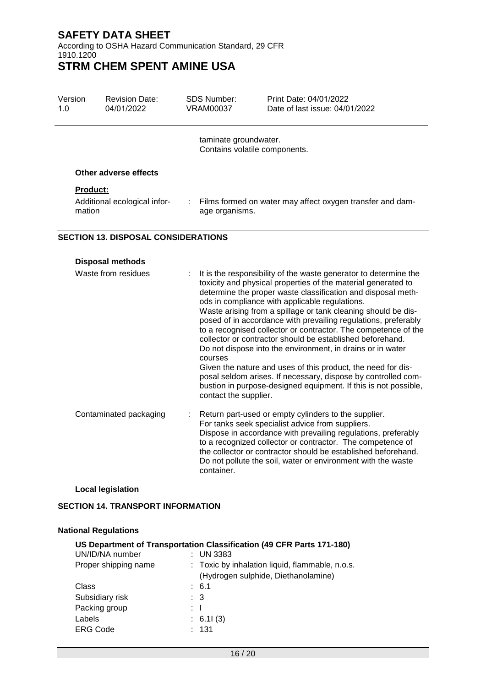According to OSHA Hazard Communication Standard, 29 CFR 1910.1200

# **STRM CHEM SPENT AMINE USA**

| Version<br>1.0  | <b>Revision Date:</b><br>04/01/2022        | SDS Number:<br>VRAM00037 | Print Date: 04/01/2022<br>Date of last issue: 04/01/2022    |
|-----------------|--------------------------------------------|--------------------------|-------------------------------------------------------------|
|                 |                                            | taminate groundwater.    | Contains volatile components.                               |
|                 | Other adverse effects                      |                          |                                                             |
| <b>Product:</b> |                                            |                          |                                                             |
| mation          | Additional ecological infor-               | age organisms.           | : Films formed on water may affect oxygen transfer and dam- |
|                 | <b>SECTION 13. DISPOSAL CONSIDERATIONS</b> |                          |                                                             |

## **Disposal methods** Waste from residues : It is the responsibility of the waste generator to determine the toxicity and physical properties of the material generated to determine the proper waste classification and disposal methods in compliance with applicable regulations. Waste arising from a spillage or tank cleaning should be disposed of in accordance with prevailing regulations, preferably to a recognised collector or contractor. The competence of the collector or contractor should be established beforehand. Do not dispose into the environment, in drains or in water courses Given the nature and uses of this product, the need for disposal seldom arises. If necessary, dispose by controlled combustion in purpose-designed equipment. If this is not possible, contact the supplier. Contaminated packaging : Return part-used or empty cylinders to the supplier. For tanks seek specialist advice from suppliers. Dispose in accordance with prevailing regulations, preferably to a recognized collector or contractor. The competence of the collector or contractor should be established beforehand. Do not pollute the soil, water or environment with the waste container.

### **Local legislation**

#### **SECTION 14. TRANSPORT INFORMATION**

#### **National Regulations**

# **US Department of Transportation Classification (49 CFR Parts 171-180)** UN/ID/NA number : UN 3383 Proper shipping name : Toxic by inhalation liquid, flammable, n.o.s. (Hydrogen sulphide, Diethanolamine) Class : 6.1 Subsidiary risk : 3 Packing group : I Labels : 6.1I (3) ERG Code : 131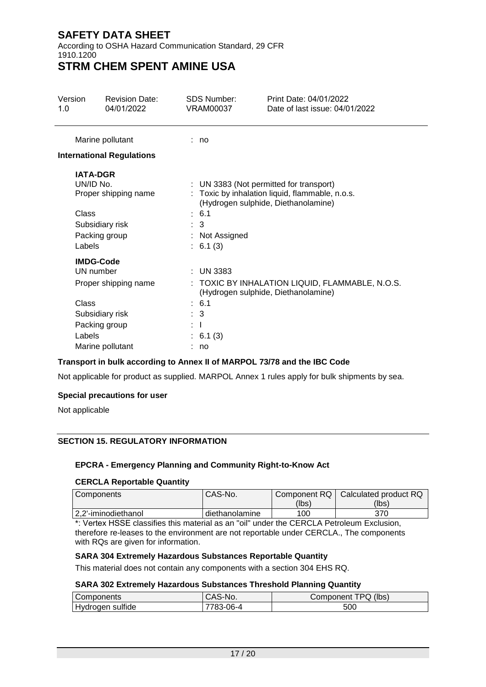According to OSHA Hazard Communication Standard, 29 CFR 1910.1200

# **STRM CHEM SPENT AMINE USA**

| Version<br>1.0                                                                                                                   | <b>Revision Date:</b><br>04/01/2022                      | SDS Number:<br><b>VRAM00037</b>                                   | Print Date: 04/01/2022<br>Date of last issue: 04/01/2022                                                                          |
|----------------------------------------------------------------------------------------------------------------------------------|----------------------------------------------------------|-------------------------------------------------------------------|-----------------------------------------------------------------------------------------------------------------------------------|
|                                                                                                                                  | Marine pollutant                                         | : no                                                              |                                                                                                                                   |
|                                                                                                                                  | <b>International Regulations</b>                         |                                                                   |                                                                                                                                   |
| <b>IATA-DGR</b><br>UN/ID No.<br>Class<br>Labels                                                                                  | Proper shipping name<br>Subsidiary risk<br>Packing group | : 6.1<br>$\therefore$ 3<br>: Not Assigned<br>: 6.1(3)             | : UN 3383 (Not permitted for transport)<br>: Toxic by inhalation liquid, flammable, n.o.s.<br>(Hydrogen sulphide, Diethanolamine) |
| <b>IMDG-Code</b><br>UN number<br>Proper shipping name<br>Class<br>Subsidiary risk<br>Packing group<br>Labels<br>Marine pollutant |                                                          | $:$ UN 3383<br>: 6.1<br>$\therefore$ 3<br>: T<br>: 6.1(3)<br>: no | : TOXIC BY INHALATION LIQUID, FLAMMABLE, N.O.S.<br>(Hydrogen sulphide, Diethanolamine)                                            |

## **Transport in bulk according to Annex II of MARPOL 73/78 and the IBC Code**

Not applicable for product as supplied. MARPOL Annex 1 rules apply for bulk shipments by sea.

## **Special precautions for user**

Not applicable

## **SECTION 15. REGULATORY INFORMATION**

#### **EPCRA - Emergency Planning and Community Right-to-Know Act**

#### **CERCLA Reportable Quantity**

| I Components         | CAS-No.        | Component RQ | Calculated product RQ |
|----------------------|----------------|--------------|-----------------------|
|                      |                | (lbs)        | (lbs)                 |
| 12.2'-iminodiethanol | diethanolamine | 100          | 370                   |

\*: Vertex HSSE classifies this material as an "oil" under the CERCLA Petroleum Exclusion, therefore re-leases to the environment are not reportable under CERCLA., The components with RQs are given for information.

#### **SARA 304 Extremely Hazardous Substances Reportable Quantity**

This material does not contain any components with a section 304 EHS RQ.

## **SARA 302 Extremely Hazardous Substances Threshold Planning Quantity**

| Components               | Λ.<br>N <sub>O</sub><br>- CAO-IV | (lbs)<br>. TPC.<br>Component '<br>◡ |
|--------------------------|----------------------------------|-------------------------------------|
| .<br>sulfide<br>Hydrogen | ി ∩െ⊥<br>uu                      | 500                                 |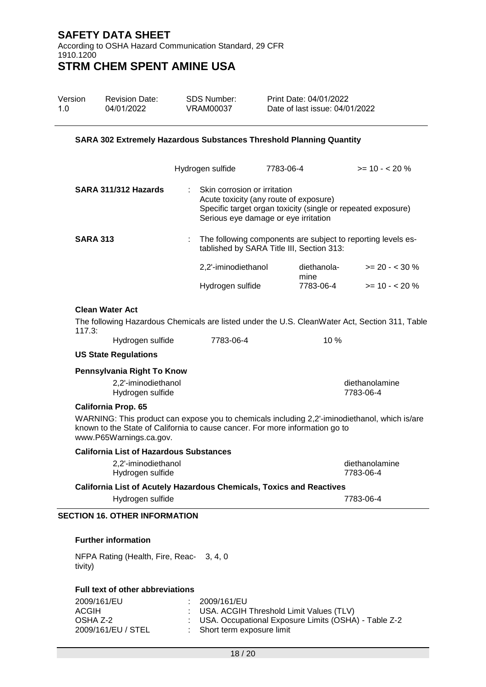According to OSHA Hazard Communication Standard, 29 CFR 1910.1200 **STRM CHEM SPENT AMINE USA**

| Version | <b>Revision Date:</b> | SDS Number: | Print Date: 04/01/2022         |
|---------|-----------------------|-------------|--------------------------------|
| 1.0     | 04/01/2022            | VRAM00037   | Date of last issue: 04/01/2022 |

#### **SARA 302 Extremely Hazardous Substances Threshold Planning Quantity**

|                      | Hydrogen sulfide    | 7783-06-4                                                                                                      | $>= 10 - 20%$                                                  |
|----------------------|---------------------|----------------------------------------------------------------------------------------------------------------|----------------------------------------------------------------|
| SARA 311/312 Hazards |                     | Skin corrosion or irritation<br>Acute toxicity (any route of exposure)<br>Serious eye damage or eye irritation | Specific target organ toxicity (single or repeated exposure)   |
| <b>SARA 313</b>      |                     | tablished by SARA Title III, Section 313:                                                                      | : The following components are subject to reporting levels es- |
|                      | 2,2'-iminodiethanol | diethanola-<br>mine                                                                                            | $>= 20 - 530 %$                                                |
|                      | Hydrogen sulfide    | 7783-06-4                                                                                                      | $>= 10 - 20 \%$                                                |

#### **Clean Water Act**

The following Hazardous Chemicals are listed under the U.S. CleanWater Act, Section 311, Table 117.3:

Hydrogen sulfide 7783-06-4 10 %

#### **US State Regulations**

| Pennsylvania Right To Know              |                             |  |  |
|-----------------------------------------|-----------------------------|--|--|
| 2,2'-iminodiethanol<br>Hydrogen sulfide | diethanolamine<br>7783-06-4 |  |  |
| <b>California Prop. 65</b>              |                             |  |  |

WARNING: This product can expose you to chemicals including 2,2'-iminodiethanol, which is/are known to the State of California to cause cancer. For more information go to www.P65Warnings.ca.gov.

| California List of Hazardous Substances                              |                             |
|----------------------------------------------------------------------|-----------------------------|
| 2.2'-iminodiethanol<br>Hydrogen sulfide                              | diethanolamine<br>7783-06-4 |
| California List of Acutely Hazardous Chemicals, Toxics and Reactives |                             |
| Hydrogen sulfide                                                     | 7783-06-4                   |

#### **SECTION 16. OTHER INFORMATION**

#### **Further information**

NFPA Rating (Health, Fire, Reac-3, 4, 0 tivity)

## **Full text of other abbreviations**

| 2009/161/EU        | 2009/161/EU                                            |
|--------------------|--------------------------------------------------------|
| ACGIH              | : USA. ACGIH Threshold Limit Values (TLV)              |
| OSHA Z-2           | : USA. Occupational Exposure Limits (OSHA) - Table Z-2 |
| 2009/161/EU / STEL | : Short term exposure limit                            |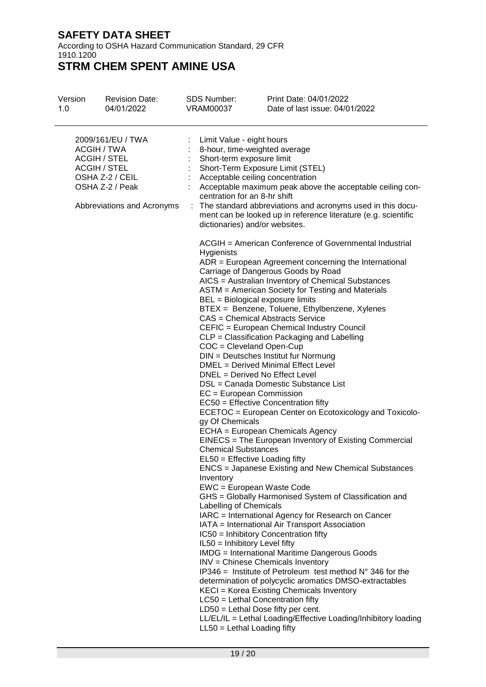According to OSHA Hazard Communication Standard, 29 CFR 1910.1200

| Version<br>1.0 | <b>Revision Date:</b><br>04/01/2022                                                                                                                | <b>SDS Number:</b><br><b>VRAM00037</b>                                                                                                                                                                                                                                                                                                                                                                                                                                                                                                                                                                                                        | Print Date: 04/01/2022<br>Date of last issue: 04/01/2022                                                                                                                                                                                                                                                                                                                                                                                                                                                                                                                                                                                                                                                                                                                                                                                                                                                                                                                                                                                                                                                                                                                                                                                                                                                                                                                                                                                                                                                                                                                                                                             |
|----------------|----------------------------------------------------------------------------------------------------------------------------------------------------|-----------------------------------------------------------------------------------------------------------------------------------------------------------------------------------------------------------------------------------------------------------------------------------------------------------------------------------------------------------------------------------------------------------------------------------------------------------------------------------------------------------------------------------------------------------------------------------------------------------------------------------------------|--------------------------------------------------------------------------------------------------------------------------------------------------------------------------------------------------------------------------------------------------------------------------------------------------------------------------------------------------------------------------------------------------------------------------------------------------------------------------------------------------------------------------------------------------------------------------------------------------------------------------------------------------------------------------------------------------------------------------------------------------------------------------------------------------------------------------------------------------------------------------------------------------------------------------------------------------------------------------------------------------------------------------------------------------------------------------------------------------------------------------------------------------------------------------------------------------------------------------------------------------------------------------------------------------------------------------------------------------------------------------------------------------------------------------------------------------------------------------------------------------------------------------------------------------------------------------------------------------------------------------------------|
|                | 2009/161/EU / TWA<br>ACGIH / TWA<br><b>ACGIH / STEL</b><br><b>ACGIH / STEL</b><br>OSHA Z-2 / CEIL<br>OSHA Z-2 / Peak<br>Abbreviations and Acronyms | Limit Value - eight hours<br>8-hour, time-weighted average<br>Short-term exposure limit<br>Acceptable ceiling concentration<br>centration for an 8-hr shift<br>dictionaries) and/or websites.<br>Hygienists<br>BEL = Biological exposure limits<br>COC = Cleveland Open-Cup<br>DNEL = Derived No Effect Level<br>EC = European Commission<br>gy Of Chemicals<br><b>Chemical Substances</b><br>EL50 = Effective Loading fifty<br>Inventory<br>EWC = European Waste Code<br>Labelling of Chemicals<br>IL50 = Inhibitory Level fifty<br>LC50 = Lethal Concentration fifty<br>$LD50 = Lethal Does fifty per cent.$<br>LL50 = Lethal Loading fifty | Short-Term Exposure Limit (STEL)<br>Acceptable maximum peak above the acceptable ceiling con-<br>The standard abbreviations and acronyms used in this docu-<br>ment can be looked up in reference literature (e.g. scientific<br>ACGIH = American Conference of Governmental Industrial<br>$ADR = European Agreement concerning the International$<br>Carriage of Dangerous Goods by Road<br>AICS = Australian Inventory of Chemical Substances<br>ASTM = American Society for Testing and Materials<br>BTEX = Benzene, Toluene, Ethylbenzene, Xylenes<br>CAS = Chemical Abstracts Service<br>CEFIC = European Chemical Industry Council<br>CLP = Classification Packaging and Labelling<br>DIN = Deutsches Institut fur Normung<br>DMEL = Derived Minimal Effect Level<br>DSL = Canada Domestic Substance List<br>$EC50 =$ Effective Concentration fifty<br>ECETOC = European Center on Ecotoxicology and Toxicolo-<br>ECHA = European Chemicals Agency<br>EINECS = The European Inventory of Existing Commercial<br>ENCS = Japanese Existing and New Chemical Substances<br>GHS = Globally Harmonised System of Classification and<br>IARC = International Agency for Research on Cancer<br>IATA = International Air Transport Association<br>IC50 = Inhibitory Concentration fifty<br><b>IMDG</b> = International Maritime Dangerous Goods<br>INV = Chinese Chemicals Inventory<br>$IP346$ = Institute of Petroleum test method $N^{\circ}$ 346 for the<br>determination of polycyclic aromatics DMSO-extractables<br>KECI = Korea Existing Chemicals Inventory<br>LL/EL/IL = Lethal Loading/Effective Loading/Inhibitory loading |
|                |                                                                                                                                                    |                                                                                                                                                                                                                                                                                                                                                                                                                                                                                                                                                                                                                                               |                                                                                                                                                                                                                                                                                                                                                                                                                                                                                                                                                                                                                                                                                                                                                                                                                                                                                                                                                                                                                                                                                                                                                                                                                                                                                                                                                                                                                                                                                                                                                                                                                                      |